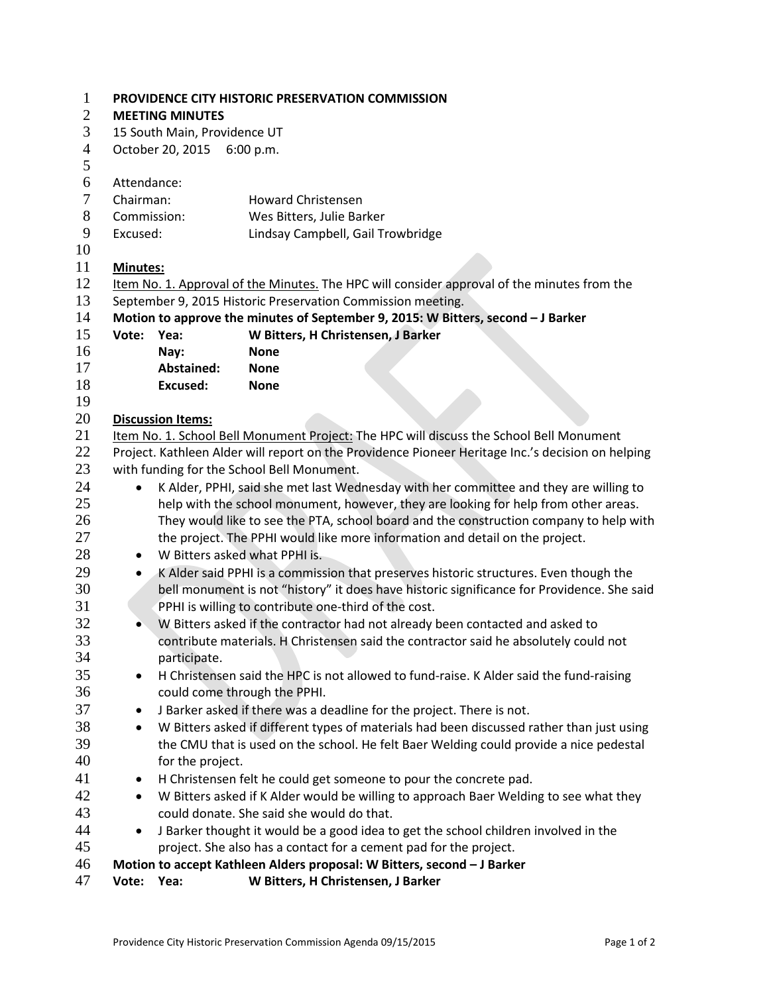| $\mathbf{1}$   | PROVIDENCE CITY HISTORIC PRESERVATION COMMISSION                                                                                                                              |                                                     |                                                                                  |  |  |  |  |
|----------------|-------------------------------------------------------------------------------------------------------------------------------------------------------------------------------|-----------------------------------------------------|----------------------------------------------------------------------------------|--|--|--|--|
| $\mathbf{2}$   | <b>MEETING MINUTES</b>                                                                                                                                                        |                                                     |                                                                                  |  |  |  |  |
| 3              | 15 South Main, Providence UT                                                                                                                                                  |                                                     |                                                                                  |  |  |  |  |
| $\overline{4}$ | October 20, 2015 6:00 p.m.                                                                                                                                                    |                                                     |                                                                                  |  |  |  |  |
| 5              |                                                                                                                                                                               |                                                     |                                                                                  |  |  |  |  |
| 6              | Attendance:                                                                                                                                                                   |                                                     |                                                                                  |  |  |  |  |
| $\tau$         | Chairman:                                                                                                                                                                     |                                                     | <b>Howard Christensen</b>                                                        |  |  |  |  |
| 8              | Commission:                                                                                                                                                                   |                                                     | Wes Bitters, Julie Barker                                                        |  |  |  |  |
| 9              | Excused:                                                                                                                                                                      |                                                     | Lindsay Campbell, Gail Trowbridge                                                |  |  |  |  |
| 10             |                                                                                                                                                                               |                                                     |                                                                                  |  |  |  |  |
| 11             | Minutes:                                                                                                                                                                      |                                                     |                                                                                  |  |  |  |  |
| 12             | Item No. 1. Approval of the Minutes. The HPC will consider approval of the minutes from the                                                                                   |                                                     |                                                                                  |  |  |  |  |
| 13             | September 9, 2015 Historic Preservation Commission meeting.                                                                                                                   |                                                     |                                                                                  |  |  |  |  |
| 14             |                                                                                                                                                                               |                                                     | Motion to approve the minutes of September 9, 2015: W Bitters, second - J Barker |  |  |  |  |
| 15             | Vote:                                                                                                                                                                         | Yea:                                                | W Bitters, H Christensen, J Barker                                               |  |  |  |  |
| 16             |                                                                                                                                                                               | Nay:                                                | <b>None</b>                                                                      |  |  |  |  |
| 17             |                                                                                                                                                                               | Abstained:                                          | <b>None</b>                                                                      |  |  |  |  |
| 18             |                                                                                                                                                                               | <b>Excused:</b>                                     | <b>None</b>                                                                      |  |  |  |  |
| 19<br>20       |                                                                                                                                                                               |                                                     |                                                                                  |  |  |  |  |
| 21             | <b>Discussion Items:</b>                                                                                                                                                      |                                                     |                                                                                  |  |  |  |  |
| 22             | Item No. 1. School Bell Monument Project: The HPC will discuss the School Bell Monument                                                                                       |                                                     |                                                                                  |  |  |  |  |
| 23             | Project. Kathleen Alder will report on the Providence Pioneer Heritage Inc.'s decision on helping<br>with funding for the School Bell Monument.                               |                                                     |                                                                                  |  |  |  |  |
| 24             |                                                                                                                                                                               |                                                     |                                                                                  |  |  |  |  |
| 25             | K Alder, PPHI, said she met last Wednesday with her committee and they are willing to<br>$\bullet$                                                                            |                                                     |                                                                                  |  |  |  |  |
| 26             | help with the school monument, however, they are looking for help from other areas.<br>They would like to see the PTA, school board and the construction company to help with |                                                     |                                                                                  |  |  |  |  |
| 27             | the project. The PPHI would like more information and detail on the project.                                                                                                  |                                                     |                                                                                  |  |  |  |  |
| 28             | W Bitters asked what PPHI is.<br>$\bullet$                                                                                                                                    |                                                     |                                                                                  |  |  |  |  |
| 29             | K Alder said PPHI is a commission that preserves historic structures. Even though the<br>$\bullet$                                                                            |                                                     |                                                                                  |  |  |  |  |
| 30             |                                                                                                                                                                               |                                                     |                                                                                  |  |  |  |  |
| 31             | bell monument is not "history" it does have historic significance for Providence. She said<br>PPHI is willing to contribute one-third of the cost.                            |                                                     |                                                                                  |  |  |  |  |
| 32             | W Bitters asked if the contractor had not already been contacted and asked to                                                                                                 |                                                     |                                                                                  |  |  |  |  |
| 33             | contribute materials. H Christensen said the contractor said he absolutely could not                                                                                          |                                                     |                                                                                  |  |  |  |  |
| 34             | participate.                                                                                                                                                                  |                                                     |                                                                                  |  |  |  |  |
| 35             | H Christensen said the HPC is not allowed to fund-raise. K Alder said the fund-raising<br>$\bullet$                                                                           |                                                     |                                                                                  |  |  |  |  |
| 36             | could come through the PPHI.                                                                                                                                                  |                                                     |                                                                                  |  |  |  |  |
| 37             | J Barker asked if there was a deadline for the project. There is not.<br>$\bullet$                                                                                            |                                                     |                                                                                  |  |  |  |  |
| 38             | W Bitters asked if different types of materials had been discussed rather than just using<br>$\bullet$                                                                        |                                                     |                                                                                  |  |  |  |  |
| 39             | the CMU that is used on the school. He felt Baer Welding could provide a nice pedestal                                                                                        |                                                     |                                                                                  |  |  |  |  |
| 40             | for the project.                                                                                                                                                              |                                                     |                                                                                  |  |  |  |  |
| 41             | H Christensen felt he could get someone to pour the concrete pad.<br>$\bullet$                                                                                                |                                                     |                                                                                  |  |  |  |  |
| 42             | W Bitters asked if K Alder would be willing to approach Baer Welding to see what they<br>$\bullet$                                                                            |                                                     |                                                                                  |  |  |  |  |
| 43             | could donate. She said she would do that.                                                                                                                                     |                                                     |                                                                                  |  |  |  |  |
| 44             | J Barker thought it would be a good idea to get the school children involved in the<br>$\bullet$                                                                              |                                                     |                                                                                  |  |  |  |  |
| 45             | project. She also has a contact for a cement pad for the project.                                                                                                             |                                                     |                                                                                  |  |  |  |  |
| 46             | Motion to accept Kathleen Alders proposal: W Bitters, second - J Barker                                                                                                       |                                                     |                                                                                  |  |  |  |  |
| 47             |                                                                                                                                                                               | W Bitters, H Christensen, J Barker<br>Yea:<br>Vote: |                                                                                  |  |  |  |  |
|                |                                                                                                                                                                               |                                                     |                                                                                  |  |  |  |  |